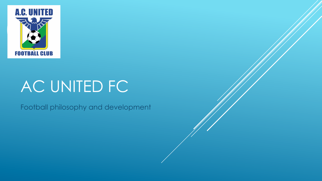

# AC UNITED FC

Football philosophy and development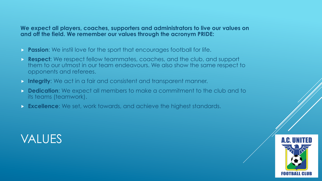#### **We expect all players, coaches, supporters and administrators to live our values on and off the field. We remember our values through the acronym PRIDE:**

- **Passion:** We instil love for the sport that encourages football for life.
- **Respect:** We respect fellow teammates, coaches, and the club, and support them to our utmost in our team endeavours. We also show the same respect to opponents and referees.
- **Integrity:** We act in a fair and consistent and transparent manner.
- **Dedication**: We expect all members to make a commitment to the club and to its teams (teamwork).
- **Excellence**: We set, work towards, and achieve the highest standards.



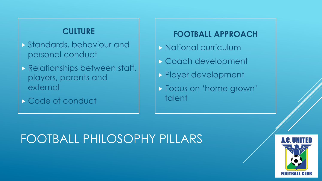#### **CULTURE**

- Standards, behaviour and personal conduct
- **Relationships between staff,** players, parents and external
- Code of conduct

#### **FOOTBALL APPROACH**

- **National curriculum**
- Coach development
- **Player development**
- Focus on 'home grown' talent

### FOOTBALL PHILOSOPHY PILLARS

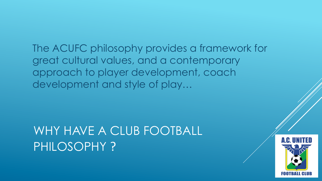The ACUFC philosophy provides a framework for great cultural values, and a contemporary approach to player development, coach development and style of play…

### WHY HAVE A CLUB FOOTBALL PHILOSOPHY ?

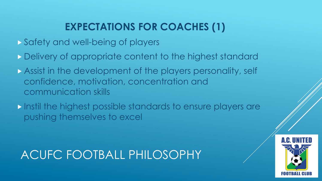### **EXPECTATIONS FOR COACHES (1)**

- Safety and well-being of players
- Delivery of appropriate content to the highest standard
- Assist in the development of the players personality, self confidence, motivation, concentration and communication skills
- Instil the highest possible standards to ensure players are pushing themselves to excel

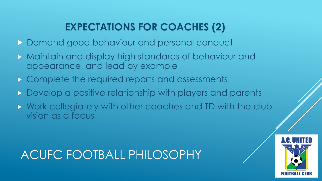### **EXPECTATIONS FOR COACHES (2)**

- **Demand good behaviour and personal conduct**
- Maintain and display high standards of behaviour and appearance, and lead by example
- **Complete the required reports and assessments**
- Develop a positive relationship with players and parents
- Work collegiately with other coaches and TD with the club vision as a focus

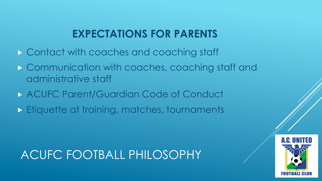### **EXPECTATIONS FOR PARENTS**

- **Contact with coaches and coaching staff**
- **Communication with coaches, coaching staff and** administrative staff
- **ACUFC Parent/Guardian Code of Conduct**
- **Etiquette at training, matches, tournaments**

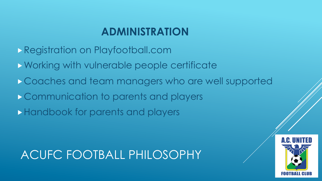### **ADMINISTRATION**

- Registration on Playfootball.com
- Working with vulnerable people certificate
- Coaches and team managers who are well supported
- Communication to parents and players
- **Handbook for parents and players**

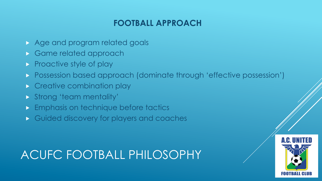#### **FOOTBALL APPROACH**

- Age and program related goals
- Game related approach
- Proactive style of play
- **Possession based approach (dominate through 'effective possession')**
- **Creative combination play**
- **Strong 'team mentality'**
- **Emphasis on technique before tactics**
- Guided discovery for players and coaches

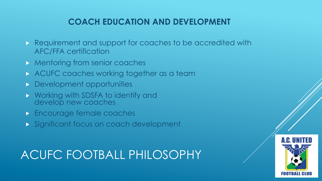#### **COACH EDUCATION AND DEVELOPMENT**

- Requirement and support for coaches to be accredited with AFC/FFA certification
- **Mentoring from senior coaches**
- ACUFC coaches working together as a team
- **Development opportunities**
- **NORGONAL WORKING WAS SEX THE STATE OF STATE IN STATE IN A WARFAULT STATE IN STATE IS NORGON STATE I** develop new coaches
- **Encourage female coaches**
- Significant focus on coach development

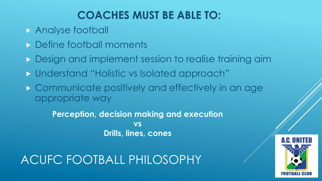### **COACHES MUST BE ABLE TO:**

- **Analyse football**
- **Define football moments**
- **Design and implement session to realise training aim**
- Understand "Holistic vs Isolated approach"
- **Communicate positively and effectively in an age** appropriate way

**Perception, decision making and execution vs Drills, lines, cones** 

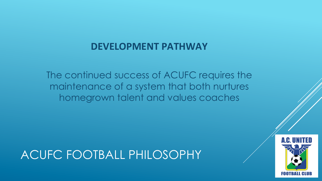#### **DEVELOPMENT PATHWAY**

The continued success of ACUFC requires the maintenance of a system that both nurtures homegrown talent and values coaches

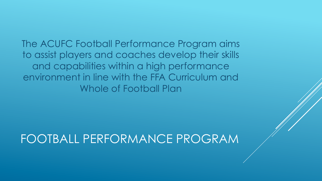The ACUFC Football Performance Program aims to assist players and coaches develop their skills and capabilities within a high performance environment in line with the FFA Curriculum and Whole of Football Plan

### FOOTBALL PERFORMANCE PROGRAM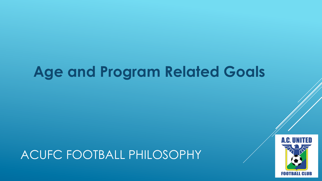## **Age and Program Related Goals**

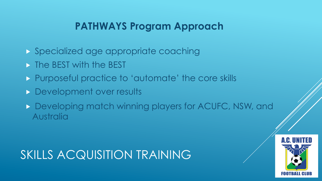#### **PATHWAYS Program Approach**

- Specialized age appropriate coaching
- **The BEST with the BEST**
- **Purposeful practice to 'automate' the core skills**
- **Development over results**
- Developing match winning players for ACUFC, NSW, and Australia

### SKILLS ACQUISITION TRAINING

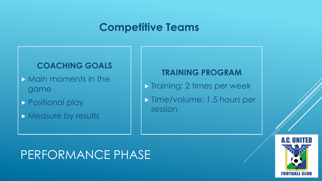#### **Competitive Teams**

#### **COACHING GOALS**

- Main moments in the game
- **Positional play**
- **Measure by results**

#### **TRAINING PROGRAM**

- **Training: 2 times per week**
- **Time/volume: 1.5 hours per** session

### PERFORMANCE PHASE